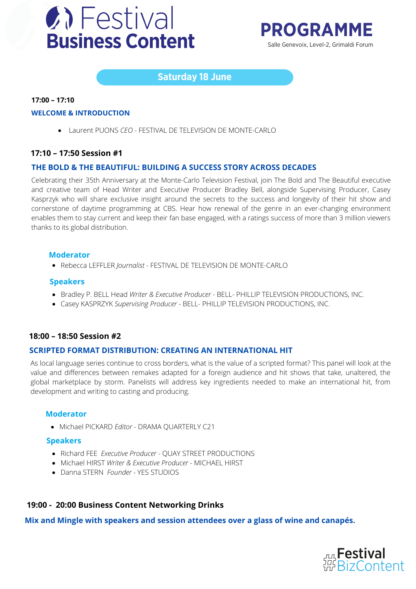



# **Saturday 18 June**

#### **17:00 – 17:10**

#### **WELCOME & INTRODUCTION**

Laurent PUONS *CEO -* FESTIVAL DE TELEVISION DE MONTE-CARLO

#### **17:10 – 17:50 Session #1**

#### **THE BOLD & THE BEAUTIFUL: BUILDING A SUCCESS STORY ACROSS DECADES**

Celebrating their 35th Anniversary at the Monte-Carlo Television Festival, join The Bold and The Beautiful executive and creative team of Head Writer and Executive Producer Bradley Bell, alongside Supervising Producer, Casey Kasprzyk who will share exclusive insight around the secrets to the success and longevity of their hit show and cornerstone of daytime programming at CBS. Hear how renewal of the genre in an ever-changing environment enables them to stay current and keep their fan base engaged, with a ratings success of more than 3 million viewers thanks to its global distribution.

#### **Moderator**

Rebecca LEFFLER *Journalist -* FESTIVAL DE TELEVISION DE MONTE-CARLO

#### **Speakers**

- Bradley P. BELL Head *Writer & Executive Producer -* BELL- PHILLIP TELEVISION PRODUCTIONS, INC.
- Casey KASPRZYK *Supervising Producer -* BELL- PHILLIP TELEVISION PRODUCTIONS, INC.

#### **18:00 – 18:50 Session #2**

#### **SCRIPTED FORMAT DISTRIBUTION: CREATING AN INTERNATIONAL HIT**

As local language series continue to cross borders, what is the value of a scripted format? This panel will look at the value and differences between remakes adapted for a foreign audience and hit shows that take, unaltered, the global marketplace by storm. Panelists will address key ingredients needed to make an international hit, from development and writing to casting and producing.

#### **Moderator**

Michael PICKARD *Editor -* DRAMA QUARTERLY C21

#### **Speakers**

- Richard FEE *Executive Producer -* QUAY STREET PRODUCTIONS
- Michael HIRST *Writer & Executive Producer -* MICHAEL HIRST
- Danna STERN *Founder -* YES STUDIOS

#### **19:00 - 20:00 Business Content Networking Drinks**

**Mix and Mingle with speakers and session attendees over a glass of wine and canapés.**

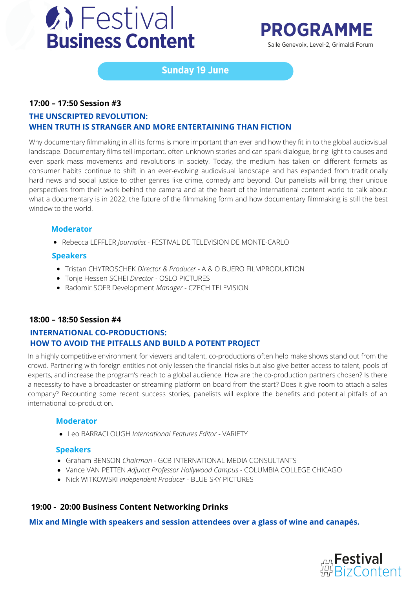

# **PROGRAMME** Salle Genevoix, Level-2, Grimaldi Forum

# **Sunday 19 June**

### **17:00 – 17:50 Session #3**

# **THE UNSCRIPTED REVOLUTION: WHEN TRUTH IS STRANGER AND MORE ENTERTAINING THAN FICTION**

Why documentary filmmaking in all its forms is more important than ever and how they fit in to the global audiovisual landscape. Documentary films tell important, often unknown stories and can spark dialogue, bring light to causes and even spark mass movements and revolutions in society. Today, the medium has taken on different formats as consumer habits continue to shift in an ever-evolving audiovisual landscape and has expanded from traditionally hard news and social justice to other genres like crime, comedy and beyond. Our panelists will bring their unique perspectives from their work behind the camera and at the heart of the international content world to talk about what a documentary is in 2022, the future of the filmmaking form and how documentary filmmaking is still the best window to the world.

#### **Moderator**

Rebecca LEFFLER *Journalist -* FESTIVAL DE TELEVISION DE MONTE-CARLO

#### **Speakers**

- Tristan CHYTROSCHEK *Director & Producer -* A & O BUERO FILMPRODUKTION
- Tonje Hessen SCHEI *Director -* OSLO PICTURES
- Radomir SOFR Development *Manager -* CZECH TELEVISION

# **18:00 – 18:50 Session #4**

# **INTERNATIONAL CO-PRODUCTIONS: HOW TO AVOID THE PITFALLS AND BUILD A POTENT PROJECT**

In a highly competitive environment for viewers and talent, co-productions often help make shows stand out from the crowd. Partnering with foreign entities not only lessen the financial risks but also give better access to talent, pools of experts, and increase the program's reach to a global audience. How are the co-production partners chosen? Is there a necessity to have a broadcaster or streaming platform on board from the start? Does it give room to attach a sales company? Recounting some recent success stories, panelists will explore the benefits and potential pitfalls of an international co-production.

#### **Moderator**

Leo BARRACLOUGH *International Features Editor -* VARIETY

#### **Speakers**

- Graham BENSON *Chairman -* GCB INTERNATIONAL MEDIA CONSULTANTS
- Vance VAN PETTEN *Adjunct Professor Hollywood Campus -* COLUMBIA COLLEGE CHICAGO
- Nick WITKOWSKI *Independent Producer -* BLUE SKY PICTURES

# **19:00 - 20:00 Business Content Networking Drinks**

**Mix and Mingle with speakers and session attendees over a glass of wine and canapés.**